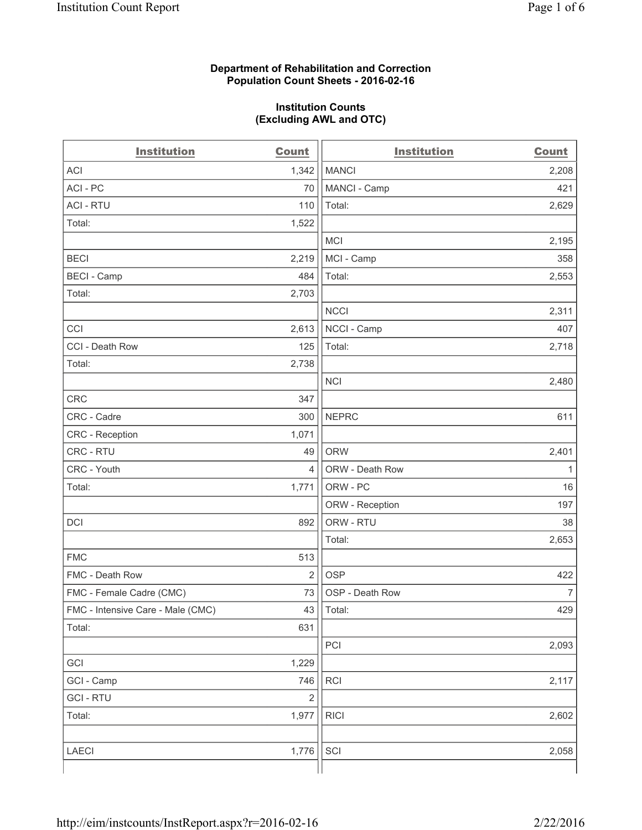#### **Department of Rehabilitation and Correction Population Count Sheets - 2016-02-16**

#### **Institution Counts (Excluding AWL and OTC)**

| <b>Institution</b>                | <b>Count</b>   | <b>Institution</b> | <b>Count</b>   |
|-----------------------------------|----------------|--------------------|----------------|
| <b>ACI</b>                        | 1,342          | <b>MANCI</b>       | 2,208          |
| ACI-PC                            | 70             | MANCI - Camp       | 421            |
| <b>ACI - RTU</b>                  | 110            | Total:             | 2,629          |
| Total:                            | 1,522          |                    |                |
|                                   |                | <b>MCI</b>         | 2,195          |
| <b>BECI</b>                       | 2,219          | MCI - Camp         | 358            |
| <b>BECI</b> - Camp                | 484            | Total:             | 2,553          |
| Total:                            | 2,703          |                    |                |
|                                   |                | <b>NCCI</b>        | 2,311          |
| CCI                               | 2,613          | NCCI - Camp        | 407            |
| CCI - Death Row                   | 125            | Total:             | 2,718          |
| Total:                            | 2,738          |                    |                |
|                                   |                | <b>NCI</b>         | 2,480          |
| <b>CRC</b>                        | 347            |                    |                |
| CRC - Cadre                       | 300            | <b>NEPRC</b>       | 611            |
| CRC - Reception                   | 1,071          |                    |                |
| CRC - RTU                         | 49             | <b>ORW</b>         | 2,401          |
| CRC - Youth                       | 4              | ORW - Death Row    | 1              |
| Total:                            | 1,771          | ORW - PC           | 16             |
|                                   |                | ORW - Reception    | 197            |
| DCI                               | 892            | ORW - RTU          | 38             |
|                                   |                | Total:             | 2,653          |
| <b>FMC</b>                        | 513            |                    |                |
| FMC - Death Row                   | $\overline{2}$ | <b>OSP</b>         | 422            |
| FMC - Female Cadre (CMC)          | 73             | OSP - Death Row    | $\overline{7}$ |
| FMC - Intensive Care - Male (CMC) | 43             | Total:             | 429            |
| Total:                            | 631            |                    |                |
|                                   |                | PCI                | 2,093          |
| GCI                               | 1,229          |                    |                |
| GCI - Camp                        | 746            | RCI                | 2,117          |
| <b>GCI - RTU</b>                  | $\overline{2}$ |                    |                |
| Total:                            | 1,977          | <b>RICI</b>        | 2,602          |
|                                   |                |                    |                |
| LAECI                             | 1,776          | SCI                | 2,058          |
|                                   |                |                    |                |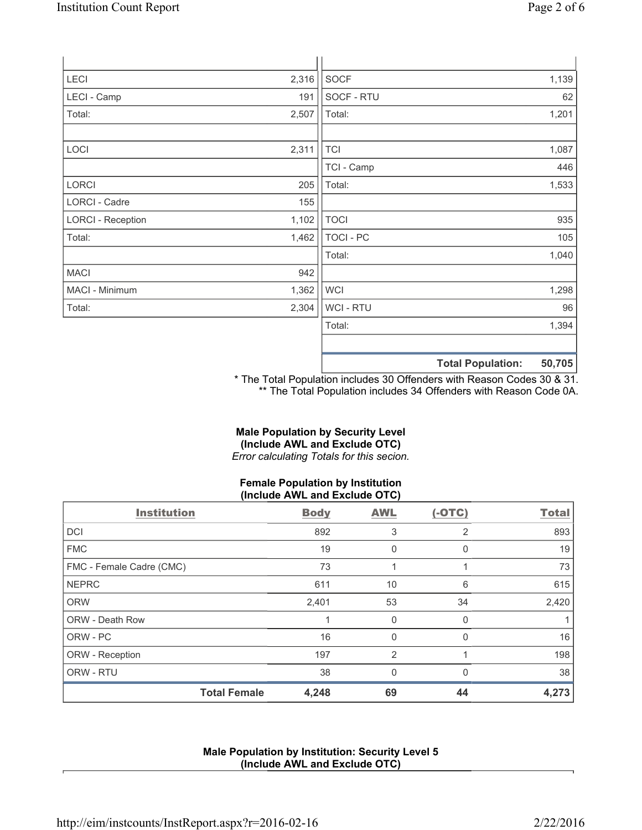| LECI                     | 2,316 | <b>SOCF</b> | 1,139 |
|--------------------------|-------|-------------|-------|
| LECI - Camp              | 191   | SOCF - RTU  | 62    |
| Total:                   | 2,507 | Total:      | 1,201 |
|                          |       |             |       |
| LOCI                     | 2,311 | <b>TCI</b>  | 1,087 |
|                          |       | TCI - Camp  | 446   |
| <b>LORCI</b>             | 205   | Total:      | 1,533 |
| LORCI - Cadre            | 155   |             |       |
| <b>LORCI - Reception</b> | 1,102 | <b>TOCI</b> | 935   |
| Total:                   | 1,462 | TOCI - PC   | 105   |
|                          |       | Total:      | 1,040 |
| MACI                     | 942   |             |       |
| MACI - Minimum           | 1,362 | <b>WCI</b>  | 1,298 |
| Total:                   | 2,304 | WCI - RTU   | 96    |
|                          |       | Total:      | 1,394 |
|                          |       |             |       |
|                          |       |             | $  -$ |

**Total Population: 50,705**

\* The Total Population includes 30 Offenders with Reason Codes 30 & 31. \*\* The Total Population includes 34 Offenders with Reason Code 0A.

# **Male Population by Security Level (Include AWL and Exclude OTC)**

*Error calculating Totals for this secion.*

# **Female Population by Institution (Include AWL and Exclude OTC)**

| <b>Institution</b>       | <b>Body</b> | <b>AWL</b>     | $(-OTC)$       | <b>Total</b> |
|--------------------------|-------------|----------------|----------------|--------------|
| <b>DCI</b>               | 892         | 3              | $\overline{2}$ | 893          |
| <b>FMC</b>               | 19          | 0              | 0              | 19           |
| FMC - Female Cadre (CMC) | 73          |                |                | 73           |
| <b>NEPRC</b>             | 611         | 10             | 6              | 615          |
| <b>ORW</b>               | 2,401       | 53             | 34             | 2,420        |
| <b>ORW - Death Row</b>   |             | 0              | $\Omega$       |              |
| ORW - PC                 | 16          | 0              | $\Omega$       | 16           |
| ORW - Reception          | 197         | $\overline{2}$ |                | 198          |
| ORW - RTU                | 38          | $\Omega$       | $\Omega$       | 38           |
| <b>Total Female</b>      | 4,248       | 69             | 44             | 4,273        |

## **Male Population by Institution: Security Level 5 (Include AWL and Exclude OTC)**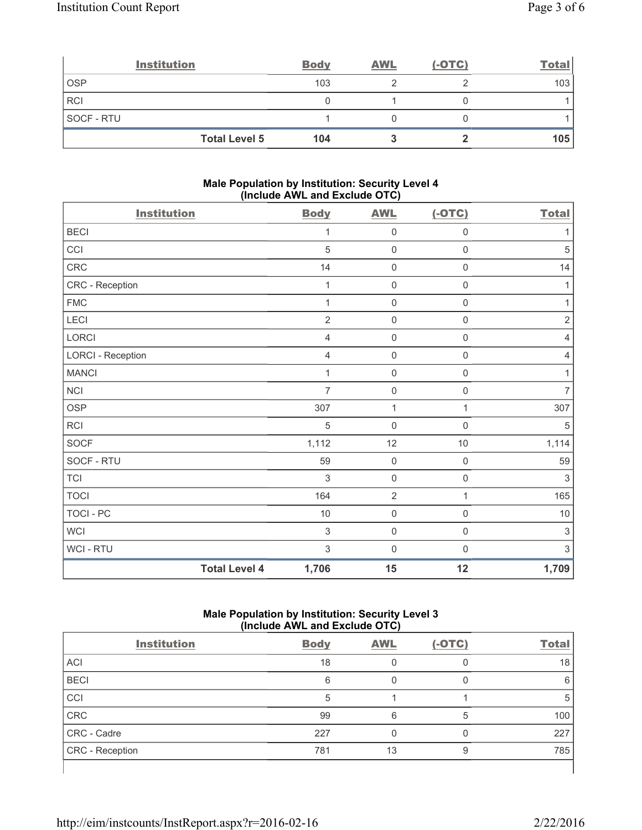|                   | <b>Institution</b>   | <b>Body</b> | <b>AWL</b> | $(-OTC)$ | <b>Total</b> |
|-------------------|----------------------|-------------|------------|----------|--------------|
| <b>OSP</b>        |                      | 103         |            |          | 103          |
| <b>RCI</b>        |                      |             |            |          |              |
| <b>SOCF - RTU</b> |                      |             |            |          |              |
|                   | <b>Total Level 5</b> | 104         |            |          | 105          |

#### **Male Population by Institution: Security Level 4 (Include AWL and Exclude OTC)**

| <b>Institution</b>       |                      | <b>Body</b>    | <b>AWL</b>          | $(-OTC)$         | <b>Total</b>              |
|--------------------------|----------------------|----------------|---------------------|------------------|---------------------------|
| <b>BECI</b>              |                      | 1              | 0                   | 0                | 1                         |
| CCI                      |                      | 5              | $\mathsf{O}\xspace$ | $\mathsf 0$      | $\sqrt{5}$                |
| CRC                      |                      | 14             | 0                   | $\boldsymbol{0}$ | 14                        |
| CRC - Reception          |                      | 1              | 0                   | $\mathsf 0$      | $\mathbf{1}$              |
| ${\sf FMC}$              |                      | 1              | $\mathsf{O}\xspace$ | $\mathsf 0$      | $\mathbf{1}$              |
| LECI                     |                      | $\overline{2}$ | $\mathsf{O}\xspace$ | $\mathsf 0$      | $\sqrt{2}$                |
| LORCI                    |                      | $\overline{4}$ | $\mathbf 0$         | $\mathbf 0$      | $\overline{4}$            |
| <b>LORCI - Reception</b> |                      | $\overline{4}$ | $\mathsf{O}\xspace$ | $\mathsf 0$      | $\overline{4}$            |
| <b>MANCI</b>             |                      | $\mathbf{1}$   | $\mathsf{O}\xspace$ | $\mathsf 0$      | 1                         |
| NCI                      |                      | $\overline{7}$ | $\mathsf{O}\xspace$ | $\boldsymbol{0}$ | $\overline{7}$            |
| <b>OSP</b>               |                      | 307            | $\mathbf{1}$        | 1                | 307                       |
| RCI                      |                      | 5              | $\mathsf{O}\xspace$ | $\boldsymbol{0}$ | $\sqrt{5}$                |
| SOCF                     |                      | 1,112          | 12                  | 10               | 1,114                     |
| SOCF - RTU               |                      | 59             | $\pmb{0}$           | $\mathsf 0$      | 59                        |
| <b>TCI</b>               |                      | 3              | $\mathsf{O}\xspace$ | $\mathbf 0$      | 3                         |
| <b>TOCI</b>              |                      | 164            | $\overline{2}$      | 1                | 165                       |
| TOCI - PC                |                      | 10             | $\mathsf{O}\xspace$ | $\mathsf 0$      | $10$                      |
| <b>WCI</b>               |                      | $\mathsf 3$    | 0                   | $\boldsymbol{0}$ | $\sqrt{3}$                |
| WCI - RTU                |                      | $\mathfrak{S}$ | $\mathbf 0$         | $\boldsymbol{0}$ | $\ensuremath{\mathsf{3}}$ |
|                          | <b>Total Level 4</b> | 1,706          | 15                  | 12               | 1,709                     |

## **Male Population by Institution: Security Level 3 (Include AWL and Exclude OTC)**

| <b>Institution</b> | <b>Body</b> | <b>AWL</b> | $(-OTC)$ | <b>Total</b> |
|--------------------|-------------|------------|----------|--------------|
| <b>ACI</b>         | 18          |            |          | 18           |
| <b>BECI</b>        | 6           | Ω          |          | 6            |
| CCI                | 5           |            |          | 5            |
| <b>CRC</b>         | 99          | 6          | 5        | 100          |
| CRC - Cadre        | 227         | 0          |          | 227          |
| CRC - Reception    | 781         | 13         | 9        | 785          |
|                    |             |            |          |              |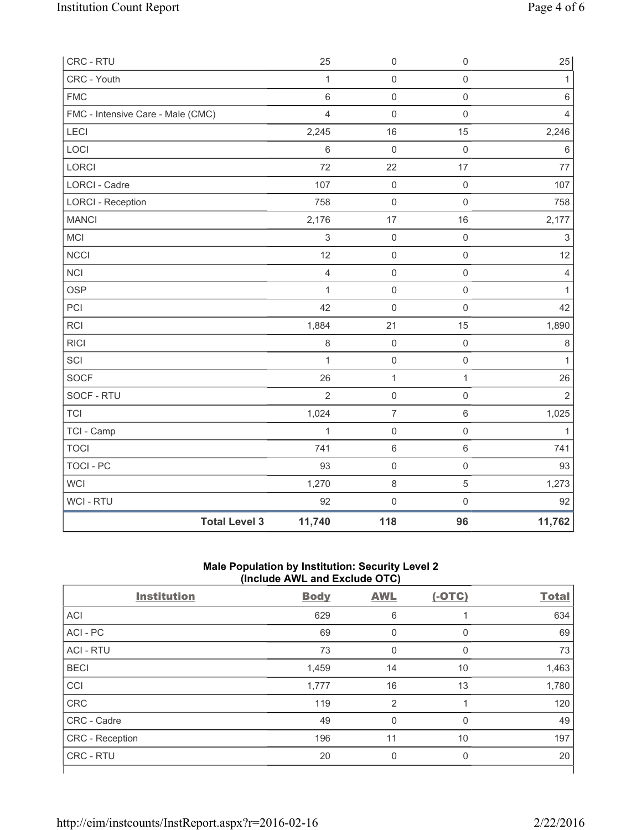| CRC - RTU                         |                      | 25             | 0                   | $\mathsf 0$         | 25                        |
|-----------------------------------|----------------------|----------------|---------------------|---------------------|---------------------------|
| CRC - Youth                       |                      | $\mathbf{1}$   | $\mathsf{O}\xspace$ | $\mathsf{O}\xspace$ | $\mathbf{1}$              |
| <b>FMC</b>                        |                      | 6              | $\mathsf 0$         | $\mathsf{O}\xspace$ | 6                         |
| FMC - Intensive Care - Male (CMC) |                      | $\overline{4}$ | $\mathsf{O}\xspace$ | $\mathsf{O}\xspace$ | $\overline{4}$            |
| LECI                              |                      | 2,245          | 16                  | 15                  | 2,246                     |
| LOCI                              |                      | $\,6$          | $\mathsf{O}\xspace$ | $\mathsf 0$         | $\,6$                     |
| LORCI                             |                      | 72             | 22                  | 17                  | 77                        |
| <b>LORCI - Cadre</b>              |                      | 107            | $\mathsf 0$         | $\mathsf{O}\xspace$ | 107                       |
| <b>LORCI - Reception</b>          |                      | 758            | $\mathsf{O}\xspace$ | $\mathbf 0$         | 758                       |
| <b>MANCI</b>                      |                      | 2,176          | 17                  | 16                  | 2,177                     |
| MCI                               |                      | $\mathsf 3$    | $\mathsf{O}\xspace$ | $\mathsf 0$         | $\ensuremath{\mathsf{3}}$ |
| <b>NCCI</b>                       |                      | 12             | $\mathsf{O}\xspace$ | $\mathsf{O}\xspace$ | 12                        |
| <b>NCI</b>                        |                      | $\overline{4}$ | $\mathsf 0$         | $\mathsf 0$         | 4                         |
| <b>OSP</b>                        |                      | $\mathbf{1}$   | $\mathsf 0$         | $\mathsf{O}\xspace$ | 1                         |
| PCI                               |                      | 42             | $\mathsf{O}\xspace$ | $\mathsf 0$         | 42                        |
| RCI                               |                      | 1,884          | 21                  | 15                  | 1,890                     |
| <b>RICI</b>                       |                      | $\,8\,$        | $\mathsf{O}\xspace$ | $\mathsf 0$         | 8                         |
| SCI                               |                      | $\mathbf{1}$   | $\mathsf 0$         | $\mathsf 0$         | $\mathbf{1}$              |
| SOCF                              |                      | 26             | $\mathbf{1}$        | $\mathbf{1}$        | 26                        |
| SOCF - RTU                        |                      | $\overline{2}$ | $\mathsf{O}\xspace$ | $\mathsf{O}\xspace$ | $\overline{2}$            |
| <b>TCI</b>                        |                      | 1,024          | $\overline{7}$      | $\,6\,$             | 1,025                     |
| TCI - Camp                        |                      | $\mathbf{1}$   | $\mathsf 0$         | $\mathsf{O}\xspace$ | $\mathbf{1}$              |
| <b>TOCI</b>                       |                      | 741            | $\,6$               | $\,6\,$             | 741                       |
| <b>TOCI - PC</b>                  |                      | 93             | $\mathsf{O}\xspace$ | $\mathbf 0$         | 93                        |
| <b>WCI</b>                        |                      | 1,270          | $\,8\,$             | $\,$ 5 $\,$         | 1,273                     |
| WCI - RTU                         |                      | 92             | $\mathsf{O}\xspace$ | $\mathsf{O}\xspace$ | 92                        |
|                                   | <b>Total Level 3</b> | 11,740         | 118                 | 96                  | 11,762                    |

### **Male Population by Institution: Security Level 2 (Include AWL and Exclude OTC)**

|                    | $\cdot$<br>- - - - | .<br>$\overline{\phantom{a}}$ |          |              |
|--------------------|--------------------|-------------------------------|----------|--------------|
| <b>Institution</b> | <b>Body</b>        | <b>AWL</b>                    | $(-OTC)$ | <b>Total</b> |
| <b>ACI</b>         | 629                | 6                             |          | 634          |
| ACI - PC           | 69                 | 0                             | 0        | 69           |
| <b>ACI - RTU</b>   | 73                 | 0                             | 0        | 73           |
| <b>BECI</b>        | 1,459              | 14                            | 10       | 1,463        |
| <b>CCI</b>         | 1,777              | 16                            | 13       | 1,780        |
| <b>CRC</b>         | 119                | 2                             |          | 120          |
| CRC - Cadre        | 49                 | 0                             | 0        | 49           |
| CRC - Reception    | 196                | 11                            | 10       | 197          |
| CRC - RTU          | 20                 | $\Omega$                      | 0        | 20           |
|                    |                    |                               |          |              |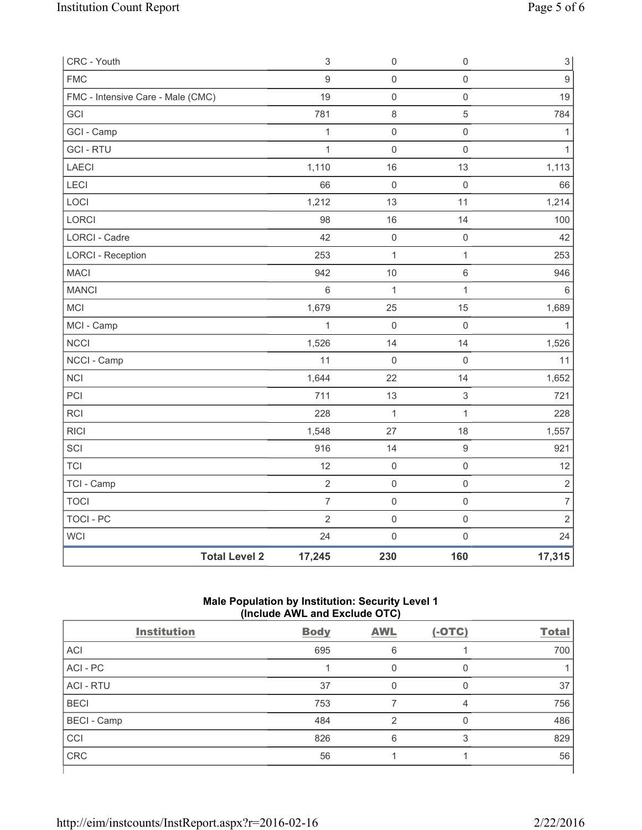| CRC - Youth                       |                      | $\ensuremath{\mathsf{3}}$ | $\mathsf 0$         | $\mathsf{O}\xspace$       | $\ensuremath{\mathsf{3}}$ |
|-----------------------------------|----------------------|---------------------------|---------------------|---------------------------|---------------------------|
| <b>FMC</b>                        |                      | 9                         | $\mathsf{O}\xspace$ | $\mathbf 0$               | $\overline{9}$            |
| FMC - Intensive Care - Male (CMC) |                      | 19                        | $\mathsf{O}\xspace$ | $\mathsf 0$               | 19                        |
| GCI                               |                      | 781                       | $\,8\,$             | $\sqrt{5}$                | 784                       |
| GCI - Camp                        |                      | 1                         | $\mathsf{O}\xspace$ | $\mathbf 0$               | 1                         |
| <b>GCI - RTU</b>                  |                      | $\mathbf{1}$              | $\mathsf{O}\xspace$ | $\mathbf 0$               | $\mathbf{1}$              |
| LAECI                             |                      | 1,110                     | 16                  | 13                        | 1,113                     |
| LECI                              |                      | 66                        | $\mathbf 0$         | $\mathsf 0$               | 66                        |
| LOCI                              |                      | 1,212                     | 13                  | 11                        | 1,214                     |
| LORCI                             |                      | 98                        | 16                  | 14                        | 100                       |
| LORCI - Cadre                     |                      | 42                        | $\mathsf{O}\xspace$ | $\mathsf{O}\xspace$       | 42                        |
| <b>LORCI - Reception</b>          |                      | 253                       | $\mathbf 1$         | 1                         | 253                       |
| <b>MACI</b>                       |                      | 942                       | 10                  | $\,6\,$                   | 946                       |
| <b>MANCI</b>                      |                      | $\,6\,$                   | $\mathbf{1}$        | 1                         | $6\phantom{1}6$           |
| MCI                               |                      | 1,679                     | 25                  | 15                        | 1,689                     |
| MCI - Camp                        |                      | $\mathbf{1}$              | $\mathsf 0$         | $\mathsf 0$               | $\mathbf{1}$              |
| <b>NCCI</b>                       |                      | 1,526                     | 14                  | 14                        | 1,526                     |
| NCCI - Camp                       |                      | 11                        | $\mathbf 0$         | $\mathsf{O}\xspace$       | 11                        |
| <b>NCI</b>                        |                      | 1,644                     | 22                  | 14                        | 1,652                     |
| PCI                               |                      | 711                       | 13                  | $\ensuremath{\mathsf{3}}$ | 721                       |
| <b>RCI</b>                        |                      | 228                       | $\mathbf{1}$        | 1                         | 228                       |
| <b>RICI</b>                       |                      | 1,548                     | 27                  | 18                        | 1,557                     |
| SCI                               |                      | 916                       | 14                  | $\boldsymbol{9}$          | 921                       |
| <b>TCI</b>                        |                      | 12                        | $\mathsf{O}\xspace$ | $\mathsf{O}\xspace$       | 12                        |
| TCI - Camp                        |                      | $\sqrt{2}$                | $\mathsf 0$         | $\mathsf{O}\xspace$       | $\sqrt{2}$                |
| <b>TOCI</b>                       |                      | $\overline{7}$            | $\mathsf{O}\xspace$ | $\mathsf 0$               | $\overline{7}$            |
| <b>TOCI - PC</b>                  |                      | $\sqrt{2}$                | $\mathsf{O}\xspace$ | $\mathsf 0$               | $\sqrt{2}$                |
| <b>WCI</b>                        |                      | 24                        | $\mathsf{O}\xspace$ | $\mathbf 0$               | 24                        |
|                                   | <b>Total Level 2</b> | 17,245                    | 230                 | 160                       | 17,315                    |

## **Male Population by Institution: Security Level 1 (Include AWL and Exclude OTC)**

| $($ $\overline{a}$ $\overline{b}$ $\overline{c}$ $\overline{c}$ $\overline{c}$ $\overline{c}$ $\overline{c}$ $\overline{c}$ $\overline{c}$ $\overline{c}$ $\overline{c}$ $\overline{c}$ |             |               |          |              |
|-----------------------------------------------------------------------------------------------------------------------------------------------------------------------------------------|-------------|---------------|----------|--------------|
| <b>Institution</b>                                                                                                                                                                      | <b>Body</b> | <b>AWL</b>    | $(-OTC)$ | <b>Total</b> |
| ACI                                                                                                                                                                                     | 695         | 6             |          | 700          |
| ACI - PC                                                                                                                                                                                |             |               | 0        |              |
| <b>ACI - RTU</b>                                                                                                                                                                        | 37          |               | 0        | 37           |
| <b>BECI</b>                                                                                                                                                                             | 753         |               | 4        | 756          |
| <b>BECI</b> - Camp                                                                                                                                                                      | 484         | $\mathcal{P}$ | 0        | 486          |
| <b>CCI</b>                                                                                                                                                                              | 826         | 6             | 3        | 829          |
| <b>CRC</b>                                                                                                                                                                              | 56          |               |          | 56           |
|                                                                                                                                                                                         |             |               |          |              |